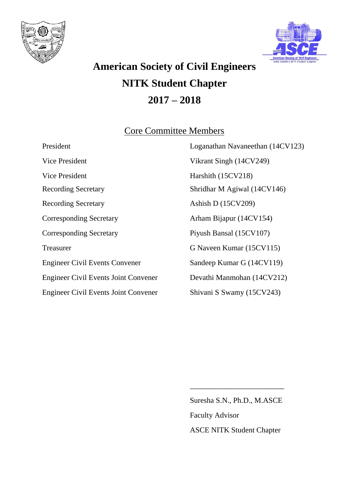



# **American Society of Civil Engineers NITK Student Chapter 2017 – 2018**

### Core Committee Members

| President                                   | Loganathan Navaneethan (14CV123) |
|---------------------------------------------|----------------------------------|
| Vice President                              | Vikrant Singh (14CV249)          |
| Vice President                              | Harshith (15CV218)               |
| <b>Recording Secretary</b>                  | Shridhar M Agiwal (14CV146)      |
| <b>Recording Secretary</b>                  | Ashish D $(15CV209)$             |
| <b>Corresponding Secretary</b>              | Arham Bijapur (14CV154)          |
| <b>Corresponding Secretary</b>              | Piyush Bansal (15CV107)          |
| Treasurer                                   | G Naveen Kumar (15CV115)         |
| <b>Engineer Civil Events Convener</b>       | Sandeep Kumar G (14CV119)        |
| <b>Engineer Civil Events Joint Convener</b> | Devathi Manmohan (14CV212)       |
| <b>Engineer Civil Events Joint Convener</b> | Shivani S Swamy (15CV243)        |

Suresha S.N., Ph.D., M.ASCE Faculty Advisor ASCE NITK Student Chapter

\_\_\_\_\_\_\_\_\_\_\_\_\_\_\_\_\_\_\_\_\_\_\_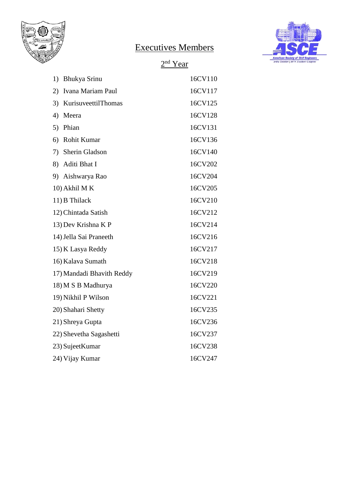

# Executives Members



#### 2<sup>nd</sup> Year

| 1)<br>Bhukya Srinu        | 16CV110 |
|---------------------------|---------|
| Ivana Mariam Paul<br>2)   | 16CV117 |
| KurisuveettilThomas<br>3) | 16CV125 |
| 4)<br>Meera               | 16CV128 |
| Phian<br>5)               | 16CV131 |
| 6) Rohit Kumar            | 16CV136 |
| 7) Sherin Gladson         | 16CV140 |
| 8) Aditi Bhat I           | 16CV202 |
| 9) Aishwarya Rao          | 16CV204 |
| 10) Akhil MK              | 16CV205 |
| 11) B Thilack             | 16CV210 |
| 12) Chintada Satish       | 16CV212 |
| 13) Dev Krishna K P       | 16CV214 |
| 14) Jella Sai Praneeth    | 16CV216 |
| 15) K Lasya Reddy         | 16CV217 |
| 16) Kalava Sumath         | 16CV218 |
| 17) Mandadi Bhavith Reddy | 16CV219 |
| 18) M S B Madhurya        | 16CV220 |
| 19) Nikhil P Wilson       | 16CV221 |
| 20) Shahari Shetty        | 16CV235 |
| 21) Shreya Gupta          | 16CV236 |
| 22) Shevetha Sagashetti   | 16CV237 |
| 23) SujeetKumar           | 16CV238 |
| 24) Vijay Kumar           | 16CV247 |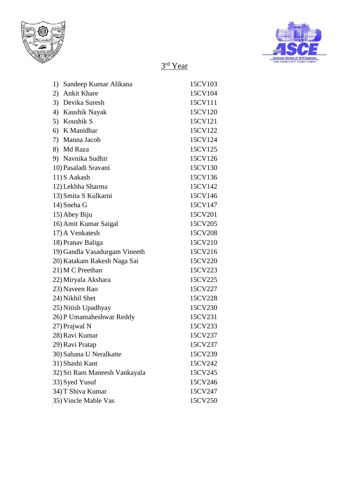



#### 3rd Year

| 1) | Sandeep Kumar Alikana         | 15CV103 |
|----|-------------------------------|---------|
| 2) | <b>Ankit Khare</b>            | 15CV104 |
|    | 3) Devika Suresh              | 15CV111 |
| 4) | Kaushik Nayak                 | 15CV120 |
|    | 5) Koushik S                  | 15CV121 |
|    | 6) K Manidhar                 | 15CV122 |
| 7) | Manna Jacob                   | 15CV124 |
|    | 8) Md Raza                    | 15CV125 |
|    | 9) Navnika Sudhir             | 15CV126 |
|    | 10) Pasaladi Sravani          | 15CV130 |
|    | 11) S Aakash                  | 15CV136 |
|    | 12) Lekhha Sharma             | 15CV142 |
|    | 13) Smita S Kulkarni          | 15CV146 |
|    | 14) Sneha G                   | 15CV147 |
|    | 15) Abey Biju                 | 15CV201 |
|    | 16) Amit Kumar Saigal         | 15CV205 |
|    | 17) A Venkatesh               | 15CV208 |
|    | 18) Pranav Baliga             | 15CV210 |
|    | 19) Gandla Vasadurgam Vineeth | 15CV216 |
|    | 20) Katakam Rakesh Naga Sai   | 15CV220 |
|    | 21) M C Preethan              | 15CV223 |
|    | 22) Miryala Akshara           | 15CV225 |
|    | 23) Naveen Rao                | 15CV227 |
|    | 24) Nikhil Shet               | 15CV228 |
|    | 25) Nitish Upadhyay           | 15CV230 |
|    | 26) P Umamaheshwar Reddy      | 15CV231 |
|    | 27) Prajwal N                 | 15CV233 |
|    | 28) Ravi Kumar                | 15CV237 |
|    | 29) Ravi Pratap               | 15CV237 |
|    | 30) Sahana U Neralkatte       | 15CV239 |
|    | 31) Shashi Kant               | 15CV242 |
|    | 32) Sri Ram Maneesh Vankayala | 15CV245 |
|    | 33) Syed Yusuf                | 15CV246 |
|    | 34) T Shiva Kumar             | 15CV247 |
|    | 35) Vincle Mable Vas          | 15CV250 |